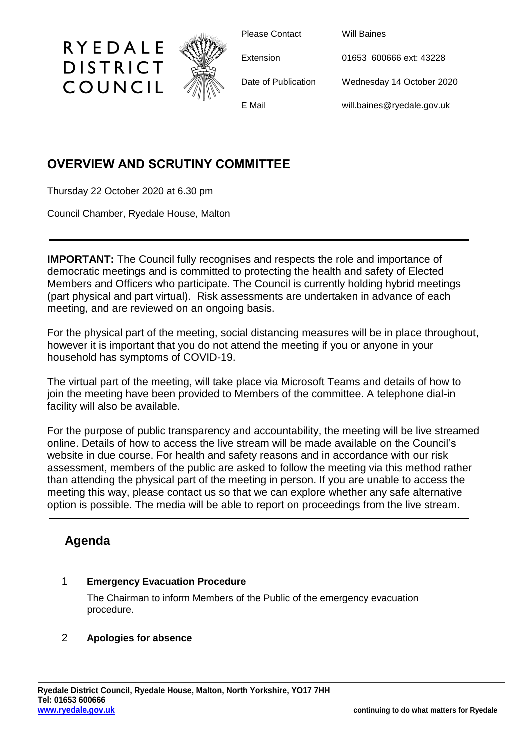

Please Contact Will Baines

Extension 01653 600666 ext: 43228

Date of Publication Wednesday 14 October 2020

E Mail will.baines@ryedale.gov.uk

# **OVERVIEW AND SCRUTINY COMMITTEE**

Thursday 22 October 2020 at 6.30 pm

RYEDALE

**DISTRICT** 

COUNCIL

Council Chamber, Ryedale House, Malton

**IMPORTANT:** The Council fully recognises and respects the role and importance of democratic meetings and is committed to protecting the health and safety of Elected Members and Officers who participate. The Council is currently holding hybrid meetings (part physical and part virtual). Risk assessments are undertaken in advance of each meeting, and are reviewed on an ongoing basis.

For the physical part of the meeting, social distancing measures will be in place throughout, however it is important that you do not attend the meeting if you or anyone in your household has symptoms of COVID-19.

The virtual part of the meeting, will take place via Microsoft Teams and details of how to join the meeting have been provided to Members of the committee. A telephone dial-in facility will also be available.

For the purpose of public transparency and accountability, the meeting will be live streamed online. Details of how to access the live stream will be made available on the Council's website in due course. For health and safety reasons and in accordance with our risk assessment, members of the public are asked to follow the meeting via this method rather than attending the physical part of the meeting in person. If you are unable to access the meeting this way, please contact us so that we can explore whether any safe alternative option is possible. The media will be able to report on proceedings from the live stream.

# **Agenda**

## 1 **Emergency Evacuation Procedure**

The Chairman to inform Members of the Public of the emergency evacuation procedure.

## 2 **Apologies for absence**